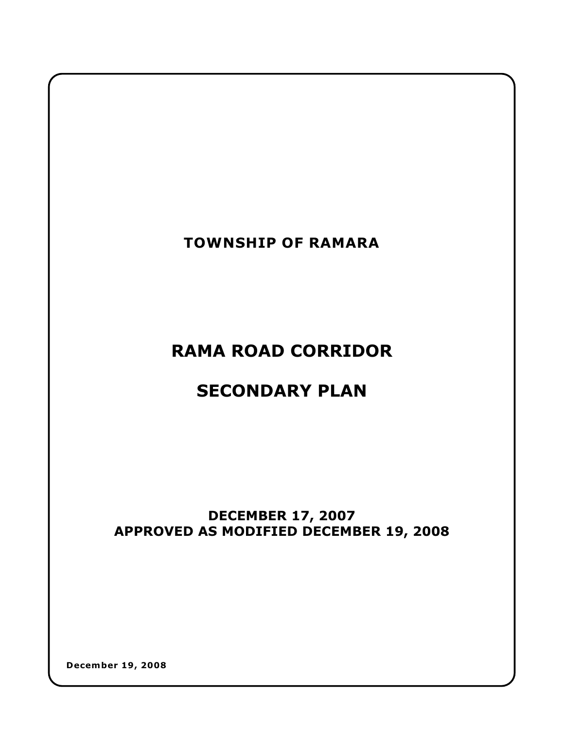

**RAMA ROAD CORRIDOR**

# **SECONDARY PLAN**

# **DECEMBER 17, 2007 APPROVED AS MODIFIED DECEMBER 19, 2008**

**December 19, 2008**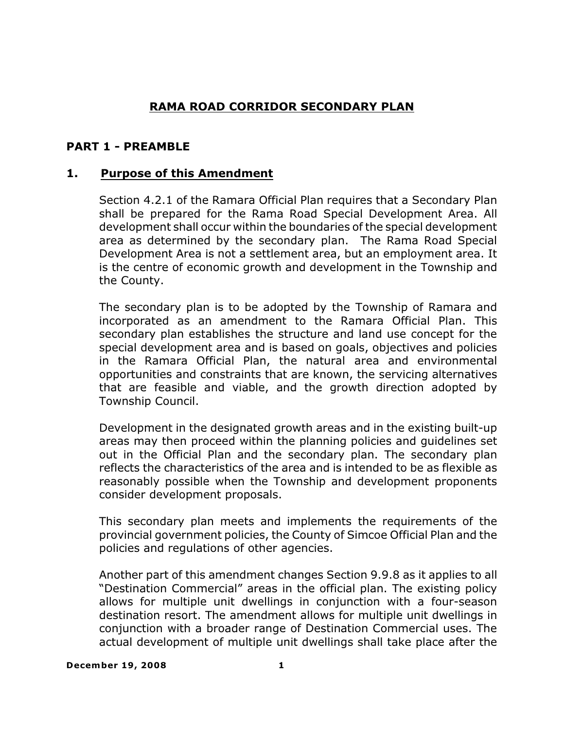# **RAMA ROAD CORRIDOR SECONDARY PLAN**

# **PART 1 - PREAMBLE**

# **1. Purpose of this Amendment**

Section 4.2.1 of the Ramara Official Plan requires that a Secondary Plan shall be prepared for the Rama Road Special Development Area. All development shall occur within the boundaries of the special development area as determined by the secondary plan. The Rama Road Special Development Area is not a settlement area, but an employment area. It is the centre of economic growth and development in the Township and the County.

The secondary plan is to be adopted by the Township of Ramara and incorporated as an amendment to the Ramara Official Plan. This secondary plan establishes the structure and land use concept for the special development area and is based on goals, objectives and policies in the Ramara Official Plan, the natural area and environmental opportunities and constraints that are known, the servicing alternatives that are feasible and viable, and the growth direction adopted by Township Council.

Development in the designated growth areas and in the existing built-up areas may then proceed within the planning policies and guidelines set out in the Official Plan and the secondary plan. The secondary plan reflects the characteristics of the area and is intended to be as flexible as reasonably possible when the Township and development proponents consider development proposals.

This secondary plan meets and implements the requirements of the provincial government policies, the County of Simcoe Official Plan and the policies and regulations of other agencies.

Another part of this amendment changes Section 9.9.8 as it applies to all "Destination Commercial" areas in the official plan. The existing policy allows for multiple unit dwellings in conjunction with a four-season destination resort. The amendment allows for multiple unit dwellings in conjunction with a broader range of Destination Commercial uses. The actual development of multiple unit dwellings shall take place after the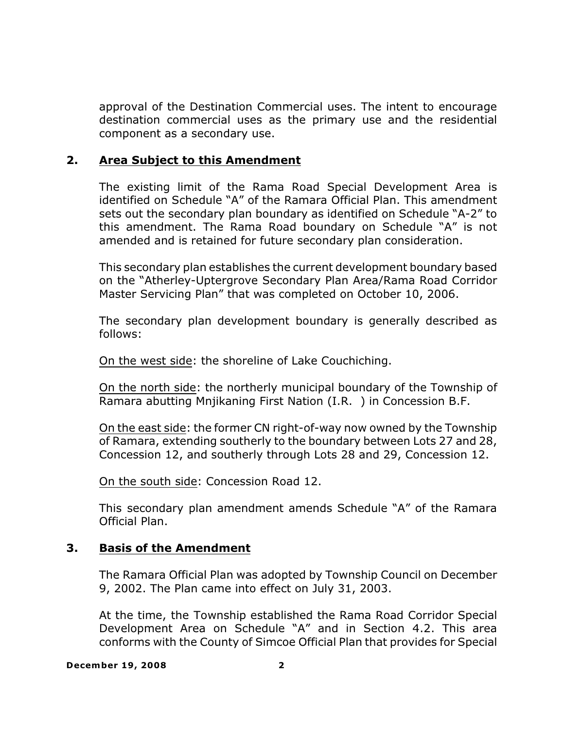approval of the Destination Commercial uses. The intent to encourage destination commercial uses as the primary use and the residential component as a secondary use.

# **2. Area Subject to this Amendment**

The existing limit of the Rama Road Special Development Area is identified on Schedule "A" of the Ramara Official Plan. This amendment sets out the secondary plan boundary as identified on Schedule "A-2" to this amendment. The Rama Road boundary on Schedule "A" is not amended and is retained for future secondary plan consideration.

This secondary plan establishes the current development boundary based on the "Atherley-Uptergrove Secondary Plan Area/Rama Road Corridor Master Servicing Plan" that was completed on October 10, 2006.

The secondary plan development boundary is generally described as follows:

On the west side: the shoreline of Lake Couchiching.

On the north side: the northerly municipal boundary of the Township of Ramara abutting Mnjikaning First Nation (I.R. ) in Concession B.F.

On the east side: the former CN right-of-way now owned by the Township of Ramara, extending southerly to the boundary between Lots 27 and 28, Concession 12, and southerly through Lots 28 and 29, Concession 12.

On the south side: Concession Road 12.

This secondary plan amendment amends Schedule "A" of the Ramara Official Plan.

# **3. Basis of the Amendment**

The Ramara Official Plan was adopted by Township Council on December 9, 2002. The Plan came into effect on July 31, 2003.

At the time, the Township established the Rama Road Corridor Special Development Area on Schedule "A" and in Section 4.2. This area conforms with the County of Simcoe Official Plan that provides for Special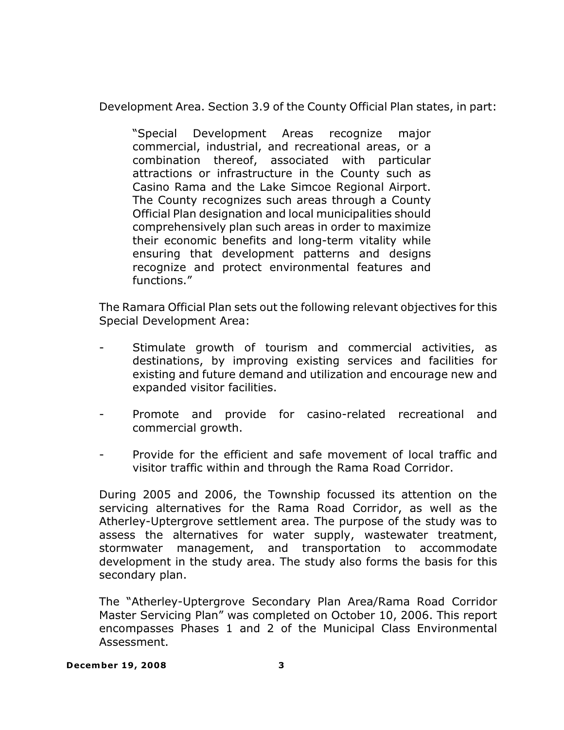Development Area. Section 3.9 of the County Official Plan states, in part:

"Special Development Areas recognize major commercial, industrial, and recreational areas, or a combination thereof, associated with particular attractions or infrastructure in the County such as Casino Rama and the Lake Simcoe Regional Airport. The County recognizes such areas through a County Official Plan designation and local municipalities should comprehensively plan such areas in order to maximize their economic benefits and long-term vitality while ensuring that development patterns and designs recognize and protect environmental features and functions."

The Ramara Official Plan sets out the following relevant objectives for this Special Development Area:

- Stimulate growth of tourism and commercial activities, as destinations, by improving existing services and facilities for existing and future demand and utilization and encourage new and expanded visitor facilities.
- Promote and provide for casino-related recreational and commercial growth.
- Provide for the efficient and safe movement of local traffic and visitor traffic within and through the Rama Road Corridor.

During 2005 and 2006, the Township focussed its attention on the servicing alternatives for the Rama Road Corridor, as well as the Atherley-Uptergrove settlement area. The purpose of the study was to assess the alternatives for water supply, wastewater treatment, stormwater management, and transportation to accommodate development in the study area. The study also forms the basis for this secondary plan.

The "Atherley-Uptergrove Secondary Plan Area/Rama Road Corridor Master Servicing Plan" was completed on October 10, 2006. This report encompasses Phases 1 and 2 of the Municipal Class Environmental Assessment.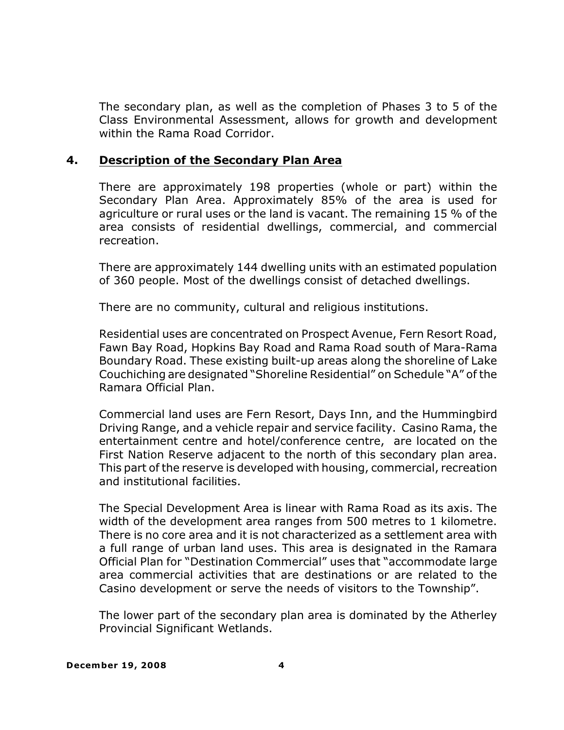The secondary plan, as well as the completion of Phases 3 to 5 of the Class Environmental Assessment, allows for growth and development within the Rama Road Corridor.

# **4. Description of the Secondary Plan Area**

There are approximately 198 properties (whole or part) within the Secondary Plan Area. Approximately 85% of the area is used for agriculture or rural uses or the land is vacant. The remaining 15 % of the area consists of residential dwellings, commercial, and commercial recreation.

There are approximately 144 dwelling units with an estimated population of 360 people. Most of the dwellings consist of detached dwellings.

There are no community, cultural and religious institutions.

Residential uses are concentrated on Prospect Avenue, Fern Resort Road, Fawn Bay Road, Hopkins Bay Road and Rama Road south of Mara-Rama Boundary Road. These existing built-up areas along the shoreline of Lake Couchiching are designated "Shoreline Residential" on Schedule "A" of the Ramara Official Plan.

Commercial land uses are Fern Resort, Days Inn, and the Hummingbird Driving Range, and a vehicle repair and service facility. Casino Rama, the entertainment centre and hotel/conference centre, are located on the First Nation Reserve adjacent to the north of this secondary plan area. This part of the reserve is developed with housing, commercial, recreation and institutional facilities.

The Special Development Area is linear with Rama Road as its axis. The width of the development area ranges from 500 metres to 1 kilometre. There is no core area and it is not characterized as a settlement area with a full range of urban land uses. This area is designated in the Ramara Official Plan for "Destination Commercial" uses that "accommodate large area commercial activities that are destinations or are related to the Casino development or serve the needs of visitors to the Township".

The lower part of the secondary plan area is dominated by the Atherley Provincial Significant Wetlands.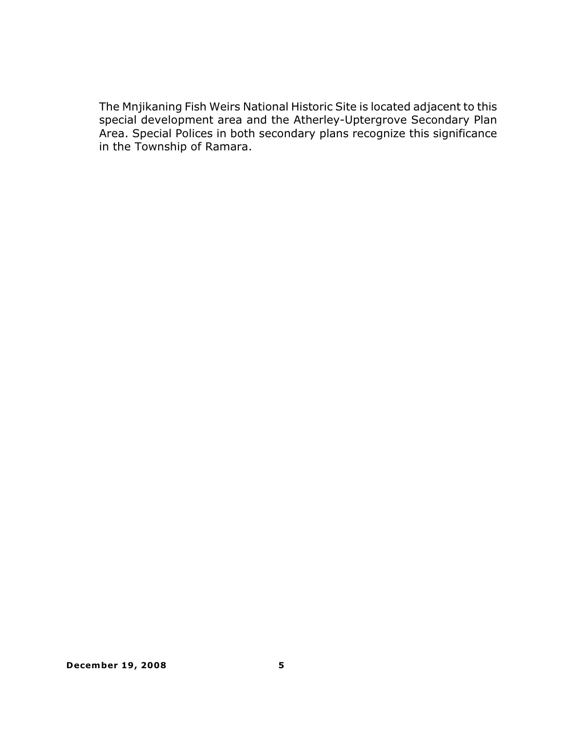The Mnjikaning Fish Weirs National Historic Site is located adjacent to this special development area and the Atherley-Uptergrove Secondary Plan Area. Special Polices in both secondary plans recognize this significance in the Township of Ramara.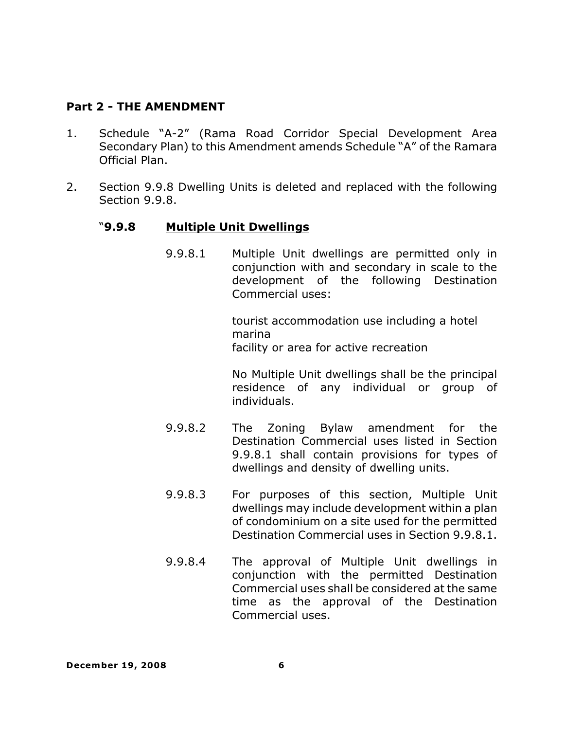# **Part 2 - THE AMENDMENT**

- 1. Schedule "A-2" (Rama Road Corridor Special Development Area Secondary Plan) to this Amendment amends Schedule "A" of the Ramara Official Plan.
- 2. Section 9.9.8 Dwelling Units is deleted and replaced with the following Section 9.9.8.

# "**9.9.8 Multiple Unit Dwellings**

9.9.8.1 Multiple Unit dwellings are permitted only in conjunction with and secondary in scale to the development of the following Destination Commercial uses:

> tourist accommodation use including a hotel marina facility or area for active recreation

No Multiple Unit dwellings shall be the principal residence of any individual or group of individuals.

- 9.9.8.2 The Zoning Bylaw amendment for the Destination Commercial uses listed in Section 9.9.8.1 shall contain provisions for types of dwellings and density of dwelling units.
- 9.9.8.3 For purposes of this section, Multiple Unit dwellings may include development within a plan of condominium on a site used for the permitted Destination Commercial uses in Section 9.9.8.1.
- 9.9.8.4 The approval of Multiple Unit dwellings in conjunction with the permitted Destination Commercial uses shall be considered at the same time as the approval of the Destination Commercial uses.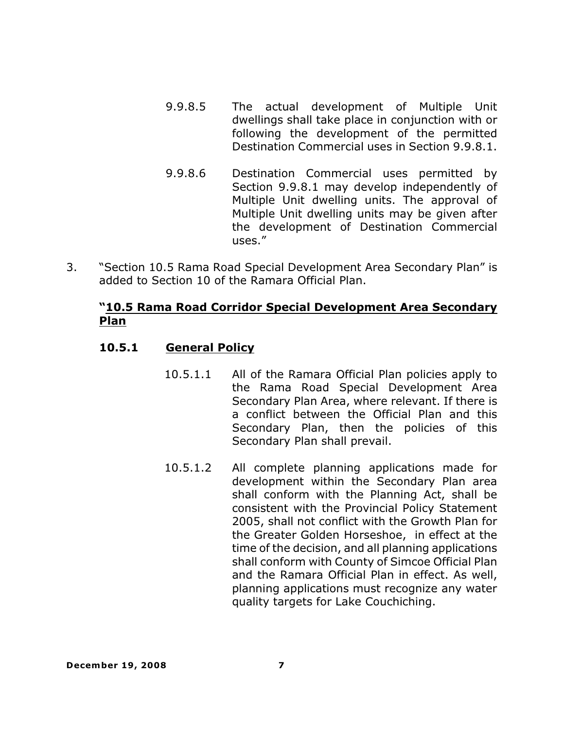- 9.9.8.5 The actual development of Multiple Unit dwellings shall take place in conjunction with or following the development of the permitted Destination Commercial uses in Section 9.9.8.1.
- 9.9.8.6 Destination Commercial uses permitted by Section 9.9.8.1 may develop independently of Multiple Unit dwelling units. The approval of Multiple Unit dwelling units may be given after the development of Destination Commercial uses."
- 3. "Section 10.5 Rama Road Special Development Area Secondary Plan" is added to Section 10 of the Ramara Official Plan.

# **"10.5 Rama Road Corridor Special Development Area Secondary Plan**

# **10.5.1 General Policy**

- 10.5.1.1 All of the Ramara Official Plan policies apply to the Rama Road Special Development Area Secondary Plan Area, where relevant. If there is a conflict between the Official Plan and this Secondary Plan, then the policies of this Secondary Plan shall prevail.
- 10.5.1.2 All complete planning applications made for development within the Secondary Plan area shall conform with the Planning Act, shall be consistent with the Provincial Policy Statement 2005, shall not conflict with the Growth Plan for the Greater Golden Horseshoe, in effect at the time of the decision, and all planning applications shall conform with County of Simcoe Official Plan and the Ramara Official Plan in effect. As well, planning applications must recognize any water quality targets for Lake Couchiching.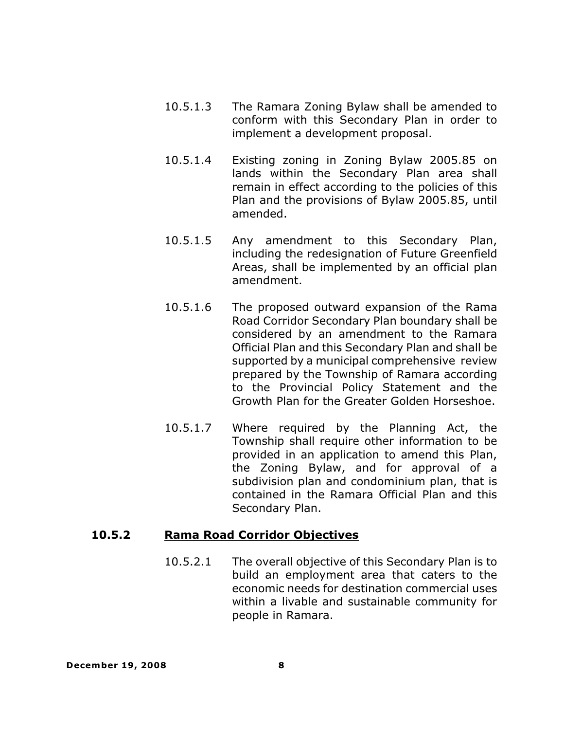- 10.5.1.3 The Ramara Zoning Bylaw shall be amended to conform with this Secondary Plan in order to implement a development proposal.
- 10.5.1.4 Existing zoning in Zoning Bylaw 2005.85 on lands within the Secondary Plan area shall remain in effect according to the policies of this Plan and the provisions of Bylaw 2005.85, until amended.
- 10.5.1.5 Any amendment to this Secondary Plan, including the redesignation of Future Greenfield Areas, shall be implemented by an official plan amendment.
- 10.5.1.6 The proposed outward expansion of the Rama Road Corridor Secondary Plan boundary shall be considered by an amendment to the Ramara Official Plan and this Secondary Plan and shall be supported by a municipal comprehensive review prepared by the Township of Ramara according to the Provincial Policy Statement and the Growth Plan for the Greater Golden Horseshoe.
- 10.5.1.7 Where required by the Planning Act, the Township shall require other information to be provided in an application to amend this Plan, the Zoning Bylaw, and for approval of a subdivision plan and condominium plan, that is contained in the Ramara Official Plan and this Secondary Plan.

# **10.5.2 Rama Road Corridor Objectives**

10.5.2.1 The overall objective of this Secondary Plan is to build an employment area that caters to the economic needs for destination commercial uses within a livable and sustainable community for people in Ramara.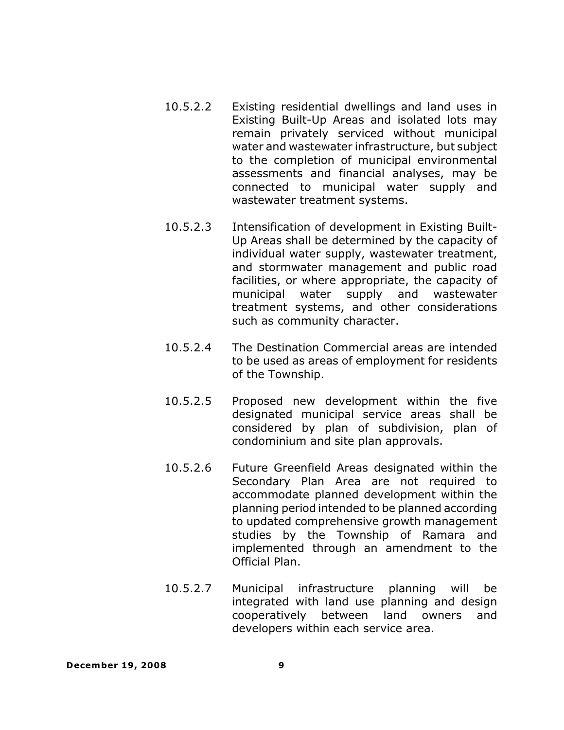- 10.5.2.2 Existing residential dwellings and land uses in Existing Built-Up Areas and isolated lots may remain privately serviced without municipal water and wastewater infrastructure, but subject to the completion of municipal environmental assessments and financial analyses, may be connected to municipal water supply and wastewater treatment systems.
- 10.5.2.3 Intensification of development in Existing Built-Up Areas shall be determined by the capacity of individual water supply, wastewater treatment, and stormwater management and public road facilities, or where appropriate, the capacity of municipal water supply and wastewater treatment systems, and other considerations such as community character.
- 10.5.2.4 The Destination Commercial areas are intended to be used as areas of employment for residents of the Township.
- 10.5.2.5 Proposed new development within the five designated municipal service areas shall be considered by plan of subdivision, plan of condominium and site plan approvals.
- 10.5.2.6 Future Greenfield Areas designated within the Secondary Plan Area are not required to accommodate planned development within the planning period intended to be planned according to updated comprehensive growth management studies by the Township of Ramara and implemented through an amendment to the Official Plan.
- 10.5.2.7 Municipal infrastructure planning will be integrated with land use planning and design cooperatively between land owners and developers within each service area.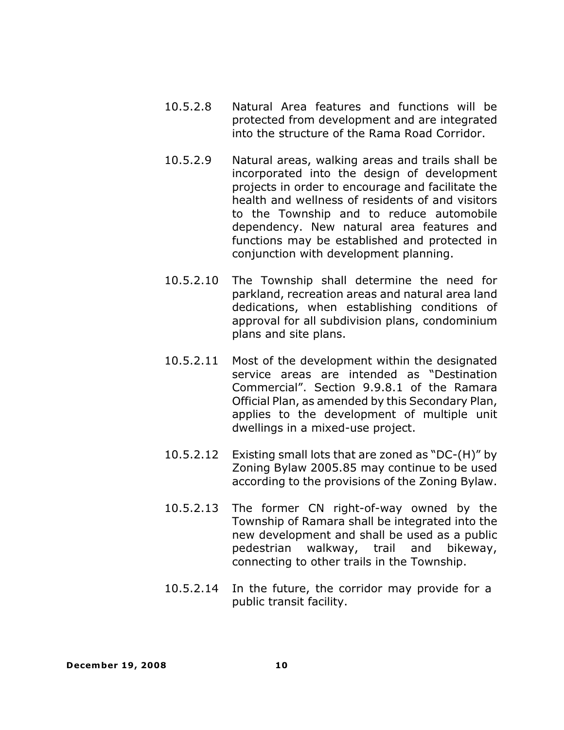- 10.5.2.8 Natural Area features and functions will be protected from development and are integrated into the structure of the Rama Road Corridor.
- 10.5.2.9 Natural areas, walking areas and trails shall be incorporated into the design of development projects in order to encourage and facilitate the health and wellness of residents of and visitors to the Township and to reduce automobile dependency. New natural area features and functions may be established and protected in conjunction with development planning.
- 10.5.2.10 The Township shall determine the need for parkland, recreation areas and natural area land dedications, when establishing conditions of approval for all subdivision plans, condominium plans and site plans.
- 10.5.2.11 Most of the development within the designated service areas are intended as "Destination Commercial". Section 9.9.8.1 of the Ramara Official Plan, as amended by this Secondary Plan, applies to the development of multiple unit dwellings in a mixed-use project.
- 10.5.2.12 Existing small lots that are zoned as "DC-(H)" by Zoning Bylaw 2005.85 may continue to be used according to the provisions of the Zoning Bylaw.
- 10.5.2.13 The former CN right-of-way owned by the Township of Ramara shall be integrated into the new development and shall be used as a public pedestrian walkway, trail and bikeway, connecting to other trails in the Township.
- 10.5.2.14 In the future, the corridor may provide for a public transit facility.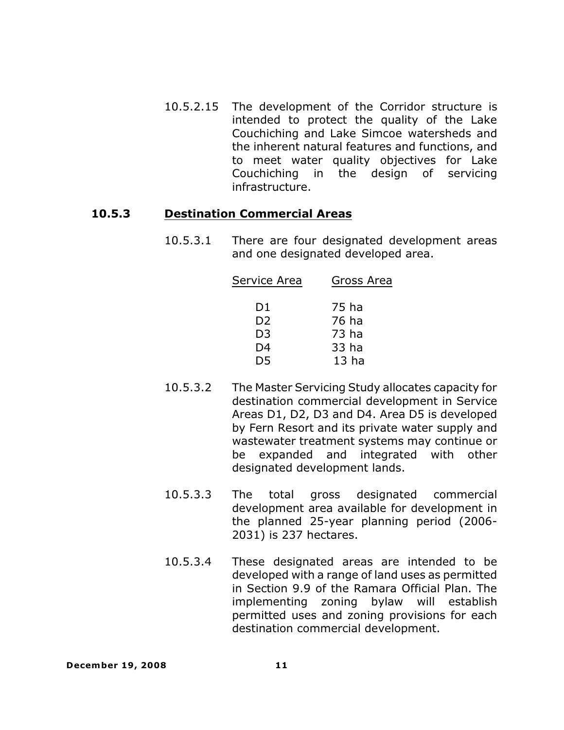10.5.2.15 The development of the Corridor structure is intended to protect the quality of the Lake Couchiching and Lake Simcoe watersheds and the inherent natural features and functions, and to meet water quality objectives for Lake Couchiching in the design of servicing infrastructure.

#### **10.5.3 Destination Commercial Areas**

10.5.3.1 There are four designated development areas and one designated developed area.

| Service Area   | Gross Area       |
|----------------|------------------|
| D1             | 75 ha            |
| D <sub>2</sub> | 76 ha            |
| D <sub>3</sub> | 73 ha            |
| D4             | 33 ha            |
| D5             | 13 <sub>ha</sub> |

- 10.5.3.2 The Master Servicing Study allocates capacity for destination commercial development in Service Areas D1, D2, D3 and D4. Area D5 is developed by Fern Resort and its private water supply and wastewater treatment systems may continue or be expanded and integrated with other designated development lands.
- 10.5.3.3 The total gross designated commercial development area available for development in the planned 25-year planning period (2006- 2031) is 237 hectares.
- 10.5.3.4 These designated areas are intended to be developed with a range of land uses as permitted in Section 9.9 of the Ramara Official Plan. The implementing zoning bylaw will establish permitted uses and zoning provisions for each destination commercial development.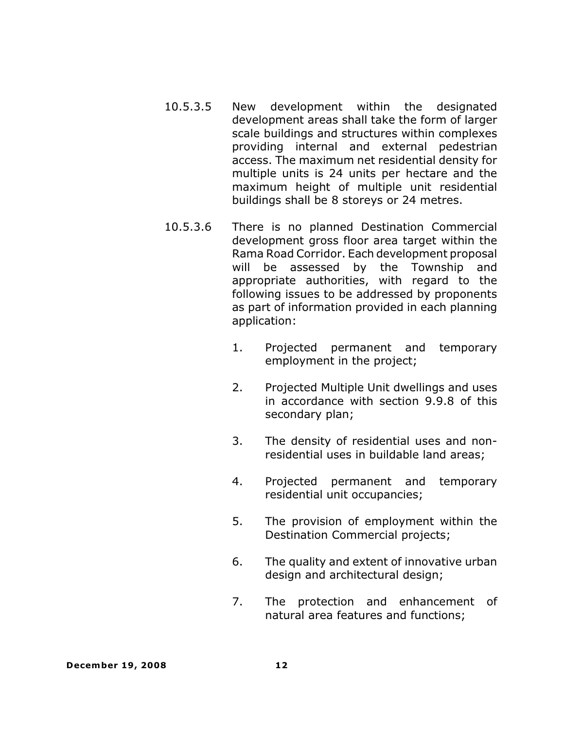- 10.5.3.5 New development within the designated development areas shall take the form of larger scale buildings and structures within complexes providing internal and external pedestrian access. The maximum net residential density for multiple units is 24 units per hectare and the maximum height of multiple unit residential buildings shall be 8 storeys or 24 metres.
- 10.5.3.6 There is no planned Destination Commercial development gross floor area target within the Rama Road Corridor. Each development proposal will be assessed by the Township and appropriate authorities, with regard to the following issues to be addressed by proponents as part of information provided in each planning application:
	- 1. Projected permanent and temporary employment in the project;
	- 2. Projected Multiple Unit dwellings and uses in accordance with section 9.9.8 of this secondary plan;
	- 3. The density of residential uses and nonresidential uses in buildable land areas;
	- 4. Projected permanent and temporary residential unit occupancies;
	- 5. The provision of employment within the Destination Commercial projects;
	- 6. The quality and extent of innovative urban design and architectural design;
	- 7. The protection and enhancement of natural area features and functions;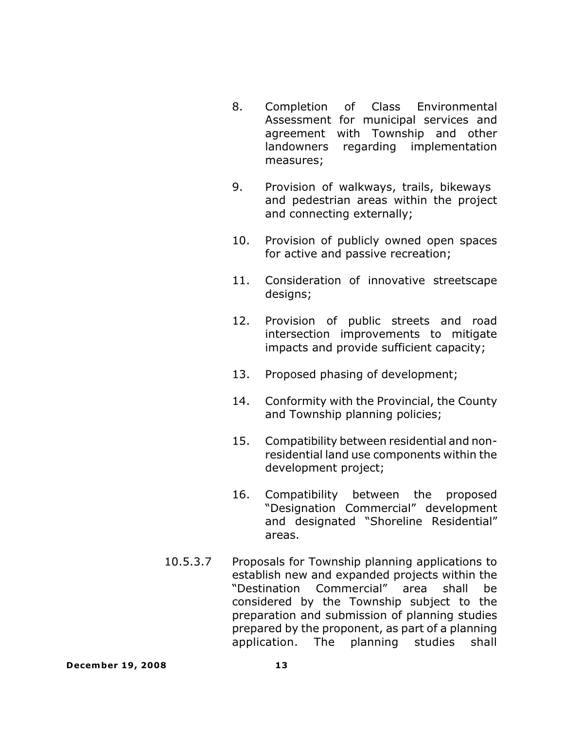- 8. Completion of Class Environmental Assessment for municipal services and agreement with Township and other landowners regarding implementation measures;
- 9. Provision of walkways, trails, bikeways and pedestrian areas within the project and connecting externally;
- 10. Provision of publicly owned open spaces for active and passive recreation;
- 11. Consideration of innovative streetscape designs;
- 12. Provision of public streets and road intersection improvements to mitigate impacts and provide sufficient capacity;
- 13. Proposed phasing of development;
- 14. Conformity with the Provincial, the County and Township planning policies;
- 15. Compatibility between residential and nonresidential land use components within the development project;
- 16. Compatibility between the proposed "Designation Commercial" development and designated "Shoreline Residential" areas.
- 10.5.3.7 Proposals for Township planning applications to establish new and expanded projects within the "Destination Commercial" area shall be considered by the Township subject to the preparation and submission of planning studies prepared by the proponent, as part of a planning application. The planning studies shall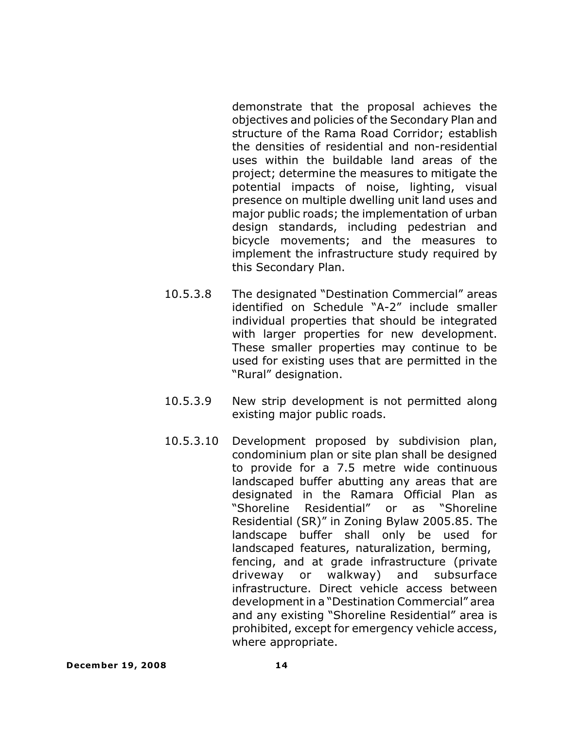demonstrate that the proposal achieves the objectives and policies of the Secondary Plan and structure of the Rama Road Corridor; establish the densities of residential and non-residential uses within the buildable land areas of the project; determine the measures to mitigate the potential impacts of noise, lighting, visual presence on multiple dwelling unit land uses and major public roads; the implementation of urban design standards, including pedestrian and bicycle movements; and the measures to implement the infrastructure study required by this Secondary Plan.

- 10.5.3.8 The designated "Destination Commercial" areas identified on Schedule "A-2" include smaller individual properties that should be integrated with larger properties for new development. These smaller properties may continue to be used for existing uses that are permitted in the "Rural" designation.
- 10.5.3.9 New strip development is not permitted along existing major public roads.
- 10.5.3.10 Development proposed by subdivision plan, condominium plan or site plan shall be designed to provide for a 7.5 metre wide continuous landscaped buffer abutting any areas that are designated in the Ramara Official Plan as "Shoreline Residential" or as "Shoreline Residential (SR)" in Zoning Bylaw 2005.85. The landscape buffer shall only be used for landscaped features, naturalization, berming, fencing, and at grade infrastructure (private driveway or walkway) and subsurface infrastructure. Direct vehicle access between developmentin a "Destination Commercial" area and any existing "Shoreline Residential" area is prohibited, except for emergency vehicle access, where appropriate.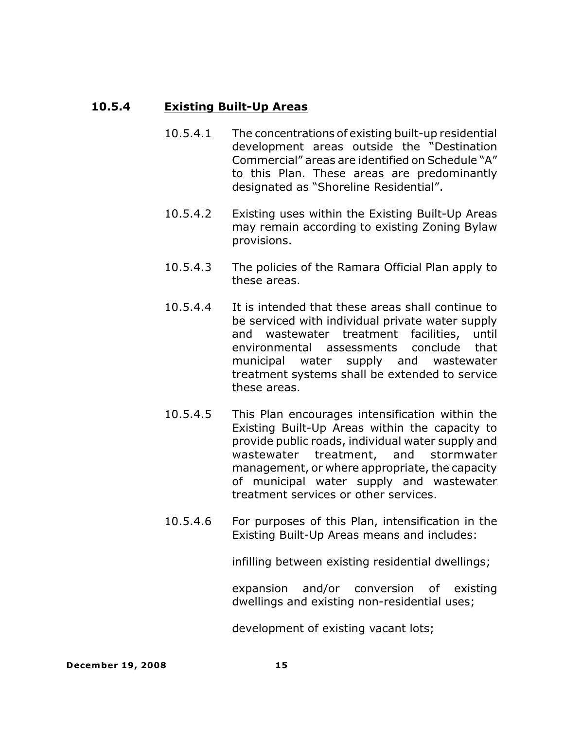# **10.5.4 Existing Built-Up Areas**

- 10.5.4.1 The concentrations of existing built-up residential development areas outside the "Destination Commercial" areas are identified on Schedule "A" to this Plan. These areas are predominantly designated as "Shoreline Residential".
- 10.5.4.2 Existing uses within the Existing Built-Up Areas may remain according to existing Zoning Bylaw provisions.
- 10.5.4.3 The policies of the Ramara Official Plan apply to these areas.
- 10.5.4.4 It is intended that these areas shall continue to be serviced with individual private water supply and wastewater treatment facilities, until environmental assessments conclude that municipal water supply and wastewater treatment systems shall be extended to service these areas.
- 10.5.4.5 This Plan encourages intensification within the Existing Built-Up Areas within the capacity to provide public roads, individual water supply and wastewater treatment, and stormwater management, or where appropriate, the capacity of municipal water supply and wastewater treatment services or other services.
- 10.5.4.6 For purposes of this Plan, intensification in the Existing Built-Up Areas means and includes:

infilling between existing residential dwellings;

expansion and/or conversion of existing dwellings and existing non-residential uses;

development of existing vacant lots;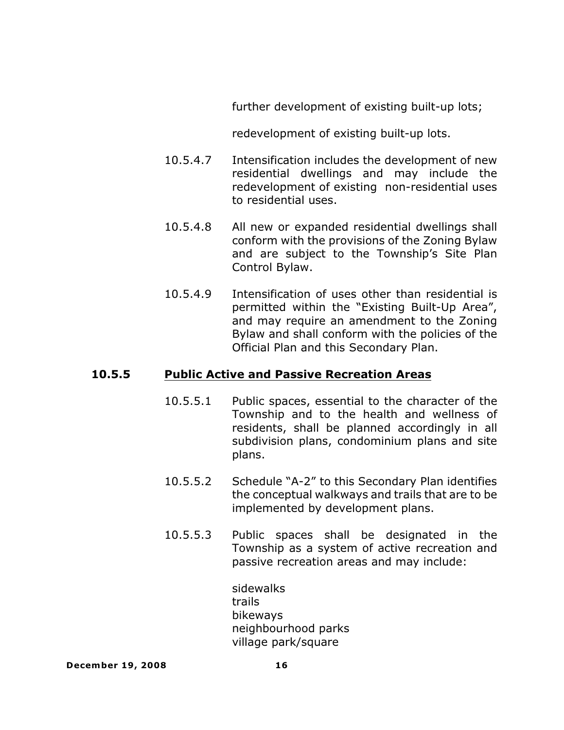further development of existing built-up lots;

redevelopment of existing built-up lots.

- 10.5.4.7 Intensification includes the development of new residential dwellings and may include the redevelopment of existing non-residential uses to residential uses.
- 10.5.4.8 All new or expanded residential dwellings shall conform with the provisions of the Zoning Bylaw and are subject to the Township's Site Plan Control Bylaw.
- 10.5.4.9 Intensification of uses other than residential is permitted within the "Existing Built-Up Area", and may require an amendment to the Zoning Bylaw and shall conform with the policies of the Official Plan and this Secondary Plan.

# **10.5.5 Public Active and Passive Recreation Areas**

- 10.5.5.1 Public spaces, essential to the character of the Township and to the health and wellness of residents, shall be planned accordingly in all subdivision plans, condominium plans and site plans.
- 10.5.5.2 Schedule "A-2" to this Secondary Plan identifies the conceptual walkways and trails that are to be implemented by development plans.
- 10.5.5.3 Public spaces shall be designated in the Township as a system of active recreation and passive recreation areas and may include:

sidewalks trails bikeways neighbourhood parks village park/square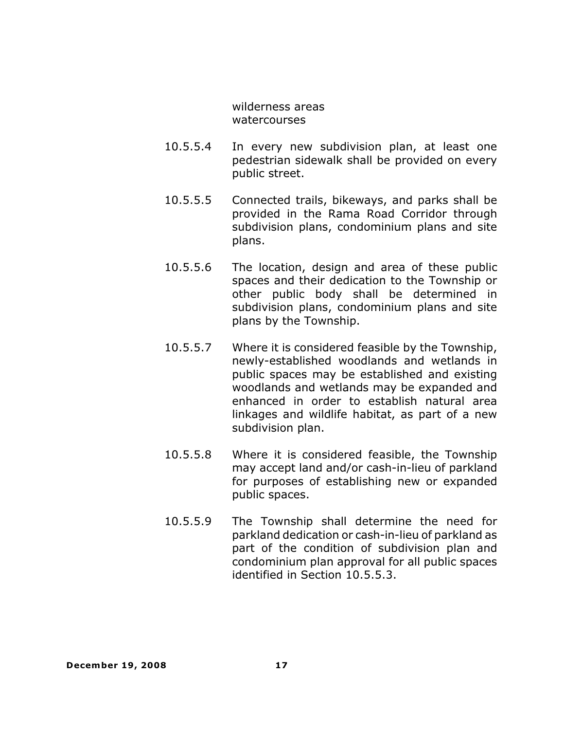wilderness areas watercourses

- 10.5.5.4 In every new subdivision plan, at least one pedestrian sidewalk shall be provided on every public street.
- 10.5.5.5 Connected trails, bikeways, and parks shall be provided in the Rama Road Corridor through subdivision plans, condominium plans and site plans.
- 10.5.5.6 The location, design and area of these public spaces and their dedication to the Township or other public body shall be determined in subdivision plans, condominium plans and site plans by the Township.
- 10.5.5.7 Where it is considered feasible by the Township, newly-established woodlands and wetlands in public spaces may be established and existing woodlands and wetlands may be expanded and enhanced in order to establish natural area linkages and wildlife habitat, as part of a new subdivision plan.
- 10.5.5.8 Where it is considered feasible, the Township may accept land and/or cash-in-lieu of parkland for purposes of establishing new or expanded public spaces.
- 10.5.5.9 The Township shall determine the need for parkland dedication or cash-in-lieu of parkland as part of the condition of subdivision plan and condominium plan approval for all public spaces identified in Section 10.5.5.3.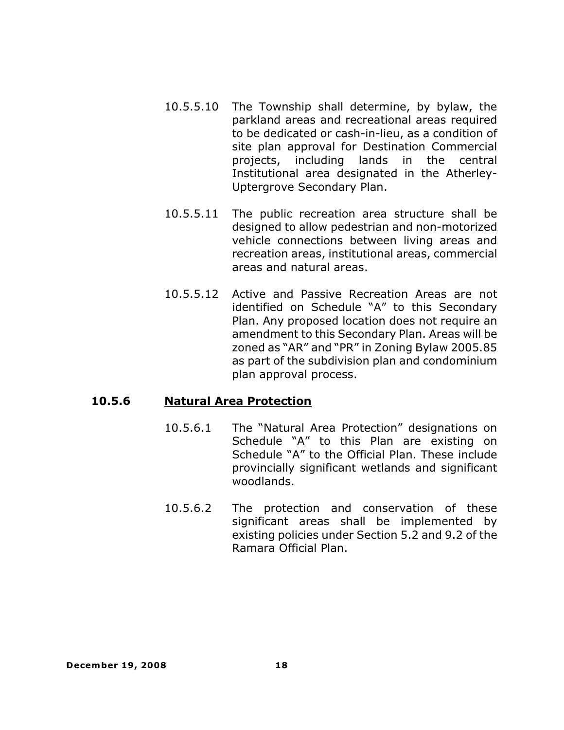- 10.5.5.10 The Township shall determine, by bylaw, the parkland areas and recreational areas required to be dedicated or cash-in-lieu, as a condition of site plan approval for Destination Commercial projects, including lands in the central Institutional area designated in the Atherley-Uptergrove Secondary Plan.
- 10.5.5.11 The public recreation area structure shall be designed to allow pedestrian and non-motorized vehicle connections between living areas and recreation areas, institutional areas, commercial areas and natural areas.
- 10.5.5.12 Active and Passive Recreation Areas are not identified on Schedule "A" to this Secondary Plan. Any proposed location does not require an amendment to this Secondary Plan. Areas will be zoned as "AR" and "PR" in Zoning Bylaw 2005.85 as part of the subdivision plan and condominium plan approval process.

#### **10.5.6 Natural Area Protection**

- 10.5.6.1 The "Natural Area Protection" designations on Schedule "A" to this Plan are existing on Schedule "A" to the Official Plan. These include provincially significant wetlands and significant woodlands.
- 10.5.6.2 The protection and conservation of these significant areas shall be implemented by existing policies under Section 5.2 and 9.2 of the Ramara Official Plan.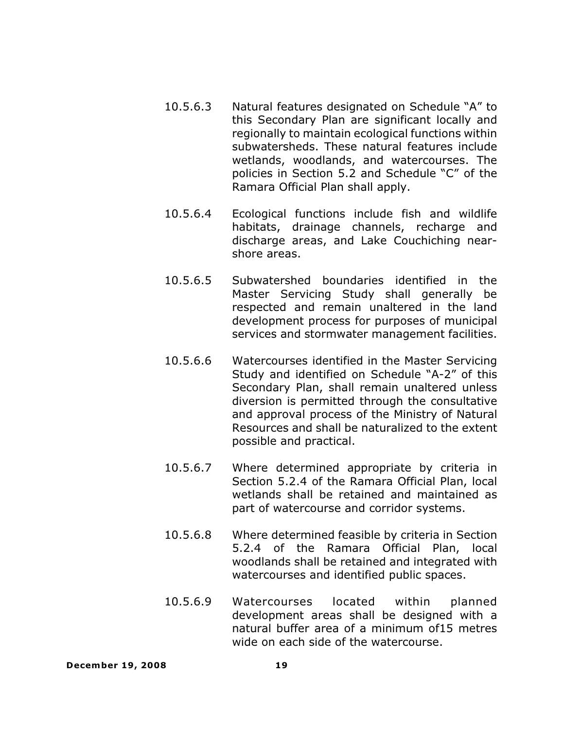- 10.5.6.3 Natural features designated on Schedule "A" to this Secondary Plan are significant locally and regionally to maintain ecological functions within subwatersheds. These natural features include wetlands, woodlands, and watercourses. The policies in Section 5.2 and Schedule "C" of the Ramara Official Plan shall apply.
- 10.5.6.4 Ecological functions include fish and wildlife habitats, drainage channels, recharge and discharge areas, and Lake Couchiching nearshore areas.
- 10.5.6.5 Subwatershed boundaries identified in the Master Servicing Study shall generally be respected and remain unaltered in the land development process for purposes of municipal services and stormwater management facilities.
- 10.5.6.6 Watercourses identified in the Master Servicing Study and identified on Schedule "A-2" of this Secondary Plan, shall remain unaltered unless diversion is permitted through the consultative and approval process of the Ministry of Natural Resources and shall be naturalized to the extent possible and practical.
- 10.5.6.7 Where determined appropriate by criteria in Section 5.2.4 of the Ramara Official Plan, local wetlands shall be retained and maintained as part of watercourse and corridor systems.
- 10.5.6.8 Where determined feasible by criteria in Section 5.2.4 of the Ramara Official Plan, local woodlands shall be retained and integrated with watercourses and identified public spaces.
- 10.5.6.9 Watercourses located within planned development areas shall be designed with a natural buffer area of a minimum of15 metres wide on each side of the watercourse.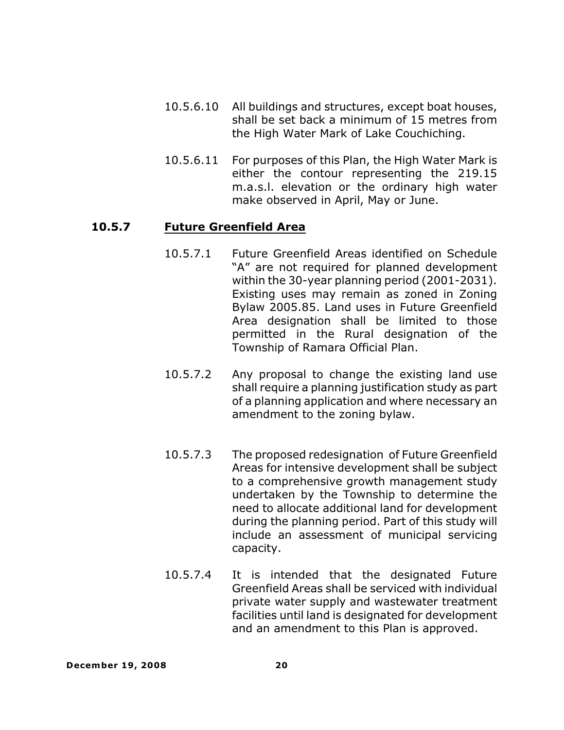- 10.5.6.10 All buildings and structures, except boat houses, shall be set back a minimum of 15 metres from the High Water Mark of Lake Couchiching.
- 10.5.6.11 For purposes of this Plan, the High Water Mark is either the contour representing the 219.15 m.a.s.l. elevation or the ordinary high water make observed in April, May or June.

# **10.5.7 Future Greenfield Area**

- 10.5.7.1 Future Greenfield Areas identified on Schedule "A" are not required for planned development within the 30-year planning period (2001-2031). Existing uses may remain as zoned in Zoning Bylaw 2005.85. Land uses in Future Greenfield Area designation shall be limited to those permitted in the Rural designation of the Township of Ramara Official Plan.
- 10.5.7.2 Any proposal to change the existing land use shall require a planning justification study as part of a planning application and where necessary an amendment to the zoning bylaw.
- 10.5.7.3 The proposed redesignation of Future Greenfield Areas for intensive development shall be subject to a comprehensive growth management study undertaken by the Township to determine the need to allocate additional land for development during the planning period. Part of this study will include an assessment of municipal servicing capacity.
- 10.5.7.4 It is intended that the designated Future Greenfield Areas shall be serviced with individual private water supply and wastewater treatment facilities until land is designated for development and an amendment to this Plan is approved.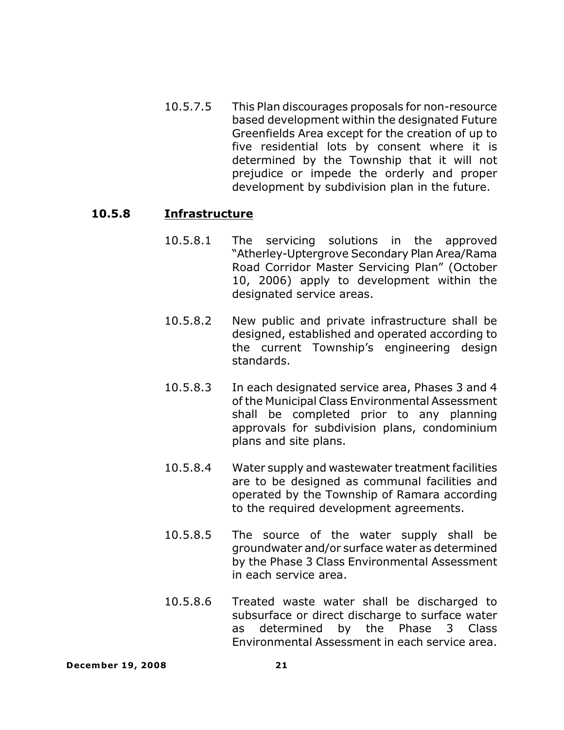10.5.7.5 This Plan discourages proposals for non-resource based development within the designated Future Greenfields Area except for the creation of up to five residential lots by consent where it is determined by the Township that it will not prejudice or impede the orderly and proper development by subdivision plan in the future.

#### **10.5.8 Infrastructure**

- 10.5.8.1 The servicing solutions in the approved "Atherley-Uptergrove Secondary Plan Area/Rama Road Corridor Master Servicing Plan" (October 10, 2006) apply to development within the designated service areas.
- 10.5.8.2 New public and private infrastructure shall be designed, established and operated according to the current Township's engineering design standards.
- 10.5.8.3 In each designated service area, Phases 3 and 4 of the Municipal Class Environmental Assessment shall be completed prior to any planning approvals for subdivision plans, condominium plans and site plans.
- 10.5.8.4 Water supply and wastewater treatment facilities are to be designed as communal facilities and operated by the Township of Ramara according to the required development agreements.
- 10.5.8.5 The source of the water supply shall be groundwater and/or surface water as determined by the Phase 3 Class Environmental Assessment in each service area.
- 10.5.8.6 Treated waste water shall be discharged to subsurface or direct discharge to surface water as determined by the Phase 3 Class Environmental Assessment in each service area.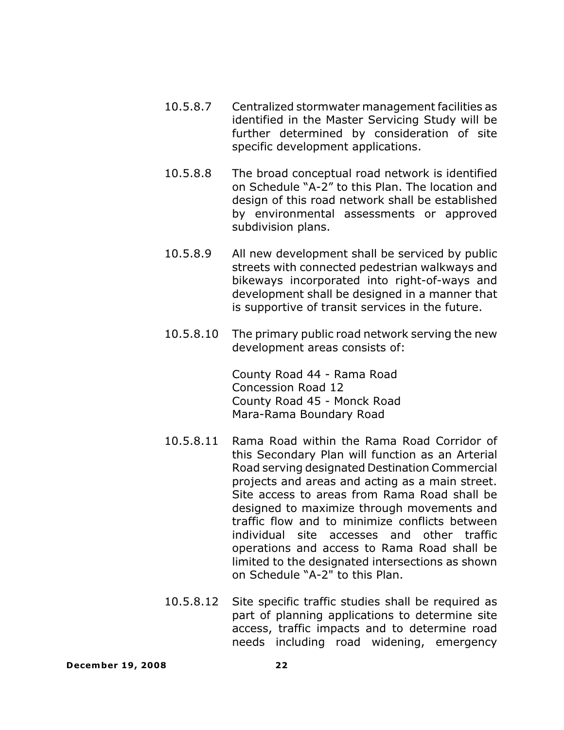- 10.5.8.7 Centralized stormwater management facilities as identified in the Master Servicing Study will be further determined by consideration of site specific development applications.
- 10.5.8.8 The broad conceptual road network is identified on Schedule "A-2" to this Plan. The location and design of this road network shall be established by environmental assessments or approved subdivision plans.
- 10.5.8.9 All new development shall be serviced by public streets with connected pedestrian walkways and bikeways incorporated into right-of-ways and development shall be designed in a manner that is supportive of transit services in the future.
- 10.5.8.10 The primary public road network serving the new development areas consists of:

County Road 44 - Rama Road Concession Road 12 County Road 45 - Monck Road Mara-Rama Boundary Road

- 10.5.8.11 Rama Road within the Rama Road Corridor of this Secondary Plan will function as an Arterial Road serving designated Destination Commercial projects and areas and acting as a main street. Site access to areas from Rama Road shall be designed to maximize through movements and traffic flow and to minimize conflicts between individual site accesses and other traffic operations and access to Rama Road shall be limited to the designated intersections as shown on Schedule "A-2" to this Plan.
- 10.5.8.12 Site specific traffic studies shall be required as part of planning applications to determine site access, traffic impacts and to determine road needs including road widening, emergency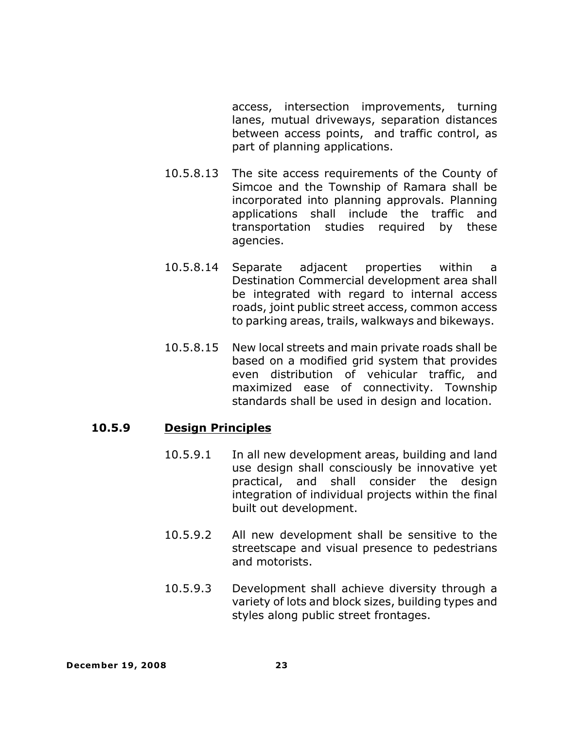access, intersection improvements, turning lanes, mutual driveways, separation distances between access points, and traffic control, as part of planning applications.

- 10.5.8.13 The site access requirements of the County of Simcoe and the Township of Ramara shall be incorporated into planning approvals. Planning applications shall include the traffic and transportation studies required by these agencies.
- 10.5.8.14 Separate adjacent properties within a Destination Commercial development area shall be integrated with regard to internal access roads, joint public street access, common access to parking areas, trails, walkways and bikeways.
- 10.5.8.15 New local streets and main private roads shall be based on a modified grid system that provides even distribution of vehicular traffic, and maximized ease of connectivity. Township standards shall be used in design and location.

#### **10.5.9 Design Principles**

- 10.5.9.1 In all new development areas, building and land use design shall consciously be innovative yet practical, and shall consider the design integration of individual projects within the final built out development.
- 10.5.9.2 All new development shall be sensitive to the streetscape and visual presence to pedestrians and motorists.
- 10.5.9.3 Development shall achieve diversity through a variety of lots and block sizes, building types and styles along public street frontages.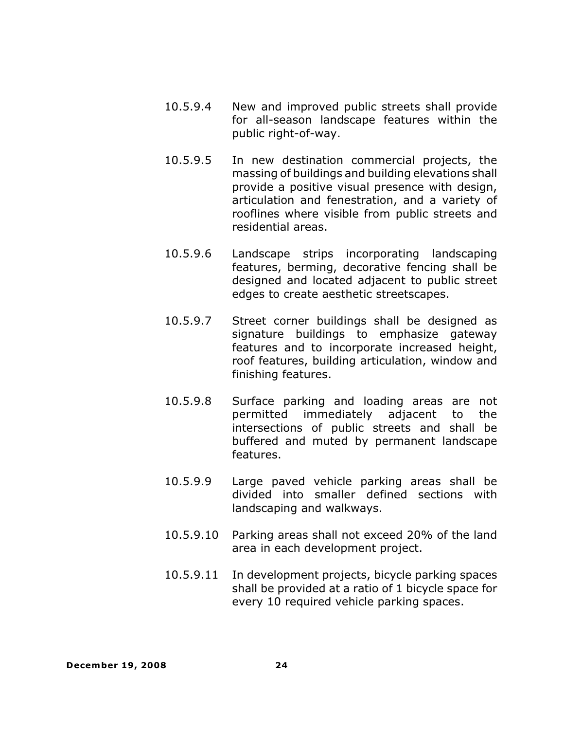- 10.5.9.4 New and improved public streets shall provide for all-season landscape features within the public right-of-way.
- 10.5.9.5 In new destination commercial projects, the massing of buildings and building elevations shall provide a positive visual presence with design, articulation and fenestration, and a variety of rooflines where visible from public streets and residential areas.
- 10.5.9.6 Landscape strips incorporating landscaping features, berming, decorative fencing shall be designed and located adjacent to public street edges to create aesthetic streetscapes.
- 10.5.9.7 Street corner buildings shall be designed as signature buildings to emphasize gateway features and to incorporate increased height, roof features, building articulation, window and finishing features.
- 10.5.9.8 Surface parking and loading areas are not permitted immediately adjacent to the intersections of public streets and shall be buffered and muted by permanent landscape features.
- 10.5.9.9 Large paved vehicle parking areas shall be divided into smaller defined sections with landscaping and walkways.
- 10.5.9.10 Parking areas shall not exceed 20% of the land area in each development project.
- 10.5.9.11 In development projects, bicycle parking spaces shall be provided at a ratio of 1 bicycle space for every 10 required vehicle parking spaces.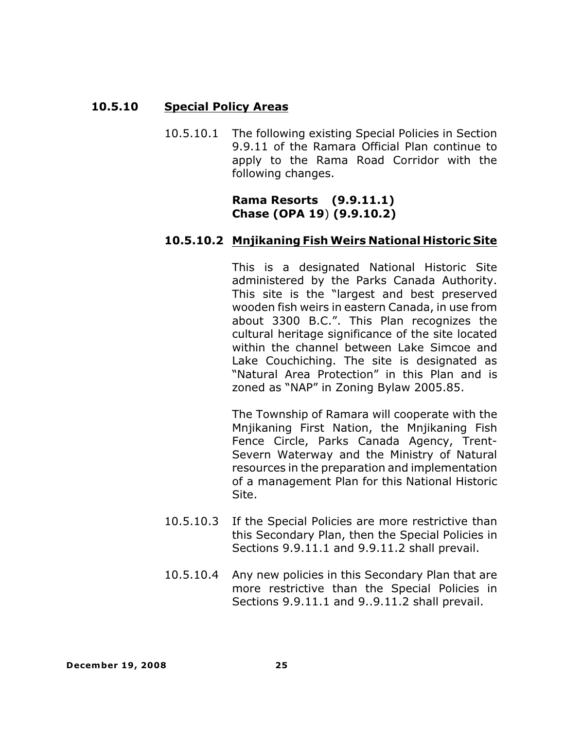# **10.5.10 Special Policy Areas**

10.5.10.1 The following existing Special Policies in Section 9.9.11 of the Ramara Official Plan continue to apply to the Rama Road Corridor with the following changes.

> **Rama Resorts (9.9.11.1) Chase (OPA 19**) **(9.9.10.2)**

# **10.5.10.2 Mnjikaning Fish Weirs National Historic Site**

This is a designated National Historic Site administered by the Parks Canada Authority. This site is the "largest and best preserved wooden fish weirs in eastern Canada, in use from about 3300 B.C.". This Plan recognizes the cultural heritage significance of the site located within the channel between Lake Simcoe and Lake Couchiching. The site is designated as "Natural Area Protection" in this Plan and is zoned as "NAP" in Zoning Bylaw 2005.85.

The Township of Ramara will cooperate with the Mnjikaning First Nation, the Mnjikaning Fish Fence Circle, Parks Canada Agency, Trent-Severn Waterway and the Ministry of Natural resources in the preparation and implementation of a management Plan for this National Historic Site.

- 10.5.10.3 If the Special Policies are more restrictive than this Secondary Plan, then the Special Policies in Sections 9.9.11.1 and 9.9.11.2 shall prevail.
- 10.5.10.4 Any new policies in this Secondary Plan that are more restrictive than the Special Policies in Sections 9.9.11.1 and 9..9.11.2 shall prevail.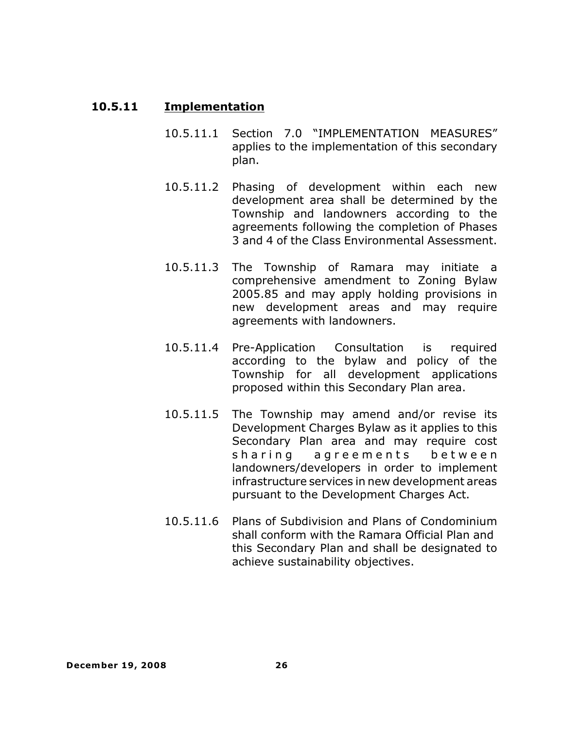#### **10.5.11 Implementation**

- 10.5.11.1 Section 7.0 "IMPLEMENTATION MEASURES" applies to the implementation of this secondary plan.
- 10.5.11.2 Phasing of development within each new development area shall be determined by the Township and landowners according to the agreements following the completion of Phases 3 and 4 of the Class Environmental Assessment.
- 10.5.11.3 The Township of Ramara may initiate a comprehensive amendment to Zoning Bylaw 2005.85 and may apply holding provisions in new development areas and may require agreements with landowners.
- 10.5.11.4 Pre-Application Consultation is required according to the bylaw and policy of the Township for all development applications proposed within this Secondary Plan area.
- 10.5.11.5 The Township may amend and/or revise its Development Charges Bylaw as it applies to this Secondary Plan area and may require cost sharing agreements between landowners/developers in order to implement infrastructure services in new development areas pursuant to the Development Charges Act.
- 10.5.11.6 Plans of Subdivision and Plans of Condominium shall conform with the Ramara Official Plan and this Secondary Plan and shall be designated to achieve sustainability objectives.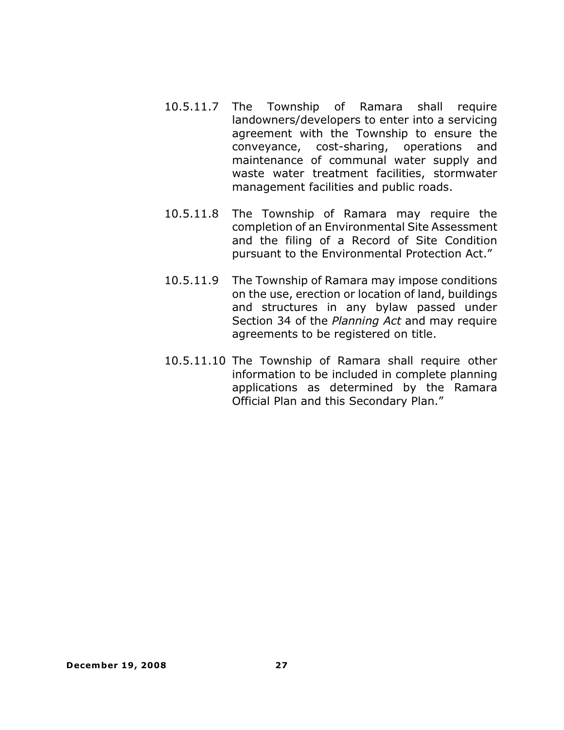- 10.5.11.7 The Township of Ramara shall require landowners/developers to enter into a servicing agreement with the Township to ensure the conveyance, cost-sharing, operations and maintenance of communal water supply and waste water treatment facilities, stormwater management facilities and public roads.
- 10.5.11.8 The Township of Ramara may require the completion of an Environmental Site Assessment and the filing of a Record of Site Condition pursuant to the Environmental Protection Act."
- 10.5.11.9 The Township of Ramara may impose conditions on the use, erection or location of land, buildings and structures in any bylaw passed under Section 34 of the *Planning Act* and may require agreements to be registered on title.
- 10.5.11.10 The Township of Ramara shall require other information to be included in complete planning applications as determined by the Ramara Official Plan and this Secondary Plan."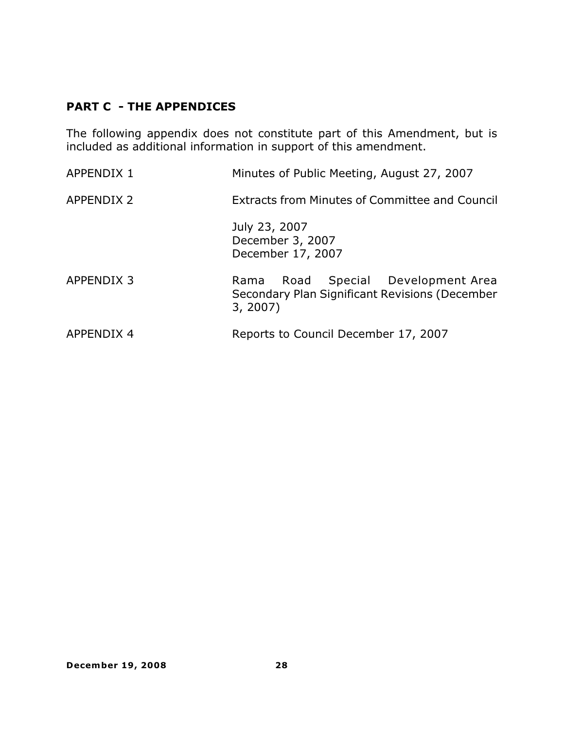# **PART C - THE APPENDICES**

The following appendix does not constitute part of this Amendment, but is included as additional information in support of this amendment.

| <b>APPENDIX 1</b> | Minutes of Public Meeting, August 27, 2007                                                         |
|-------------------|----------------------------------------------------------------------------------------------------|
| <b>APPENDIX 2</b> | <b>Extracts from Minutes of Committee and Council</b>                                              |
|                   | July 23, 2007<br>December 3, 2007<br>December 17, 2007                                             |
| APPENDIX 3        | Road Special Development Area<br>Rama<br>Secondary Plan Significant Revisions (December<br>3, 2007 |
| <b>APPENDIX 4</b> | Reports to Council December 17, 2007                                                               |